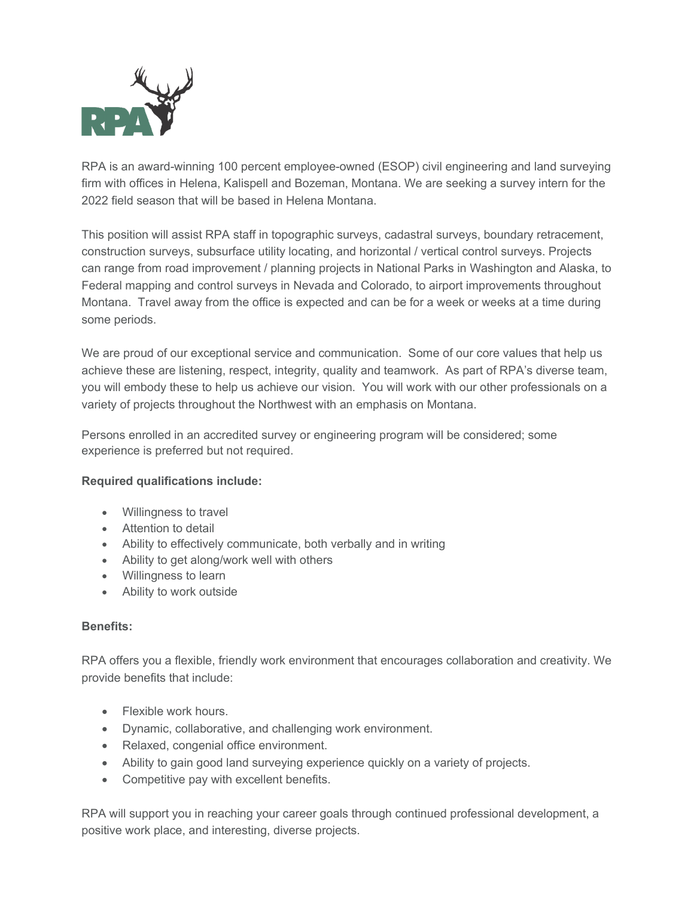

RPA is an award-winning 100 percent employee-owned (ESOP) civil engineering and land surveying firm with offices in Helena, Kalispell and Bozeman, Montana. We are seeking a survey intern for the 2022 field season that will be based in Helena Montana.

This position will assist RPA staff in topographic surveys, cadastral surveys, boundary retracement, construction surveys, subsurface utility locating, and horizontal / vertical control surveys. Projects can range from road improvement / planning projects in National Parks in Washington and Alaska, to Federal mapping and control surveys in Nevada and Colorado, to airport improvements throughout Montana. Travel away from the office is expected and can be for a week or weeks at a time during some periods.

We are proud of our exceptional service and communication. Some of our core values that help us achieve these are listening, respect, integrity, quality and teamwork. As part of RPA's diverse team, you will embody these to help us achieve our vision. You will work with our other professionals on a variety of projects throughout the Northwest with an emphasis on Montana.

Persons enrolled in an accredited survey or engineering program will be considered; some experience is preferred but not required.

## **Required qualifications include:**

- Willingness to travel
- Attention to detail
- Ability to effectively communicate, both verbally and in writing
- Ability to get along/work well with others
- Willingness to learn
- Ability to work outside

## **Benefits:**

RPA offers you a flexible, friendly work environment that encourages collaboration and creativity. We provide benefits that include:

- Flexible work hours.
- Dynamic, collaborative, and challenging work environment.
- Relaxed, congenial office environment.
- Ability to gain good land surveying experience quickly on a variety of projects.
- Competitive pay with excellent benefits.

RPA will support you in reaching your career goals through continued professional development, a positive work place, and interesting, diverse projects.